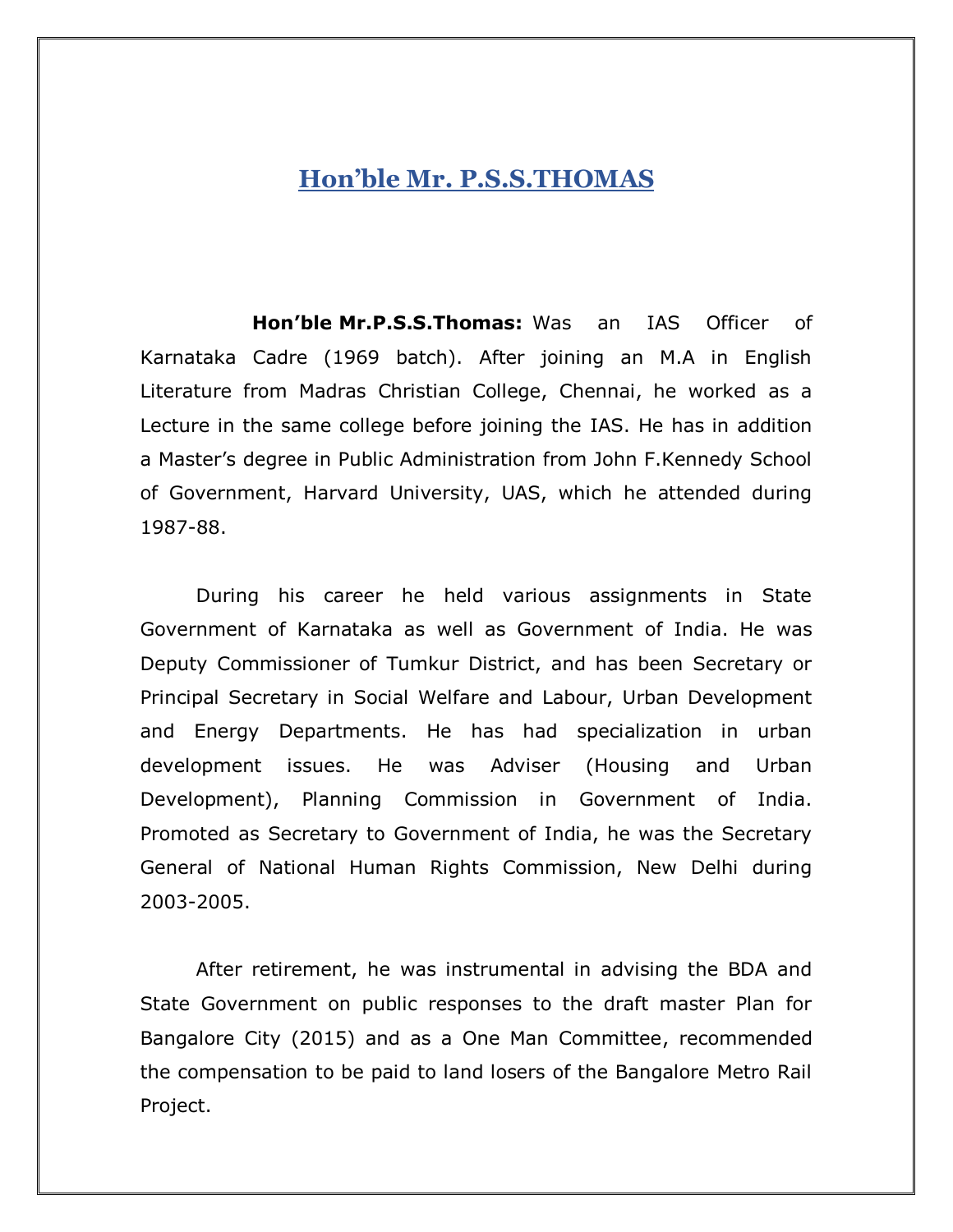## **Hon'ble Mr. P.S.S.THOMAS**

**Hon'ble Mr.P.S.S.Thomas:** Was an IAS Officer of Karnataka Cadre (1969 batch). After joining an M.A in English Literature from Madras Christian College, Chennai, he worked as a Lecture in the same college before joining the IAS. He has in addition a Master's degree in Public Administration from John F.Kennedy School of Government, Harvard University, UAS, which he attended during 1987-88.

During his career he held various assignments in State Government of Karnataka as well as Government of India. He was Deputy Commissioner of Tumkur District, and has been Secretary or Principal Secretary in Social Welfare and Labour, Urban Development and Energy Departments. He has had specialization in urban development issues. He was Adviser (Housing and Urban Development), Planning Commission in Government of India. Promoted as Secretary to Government of India, he was the Secretary General of National Human Rights Commission, New Delhi during 2003-2005.

After retirement, he was instrumental in advising the BDA and State Government on public responses to the draft master Plan for Bangalore City (2015) and as a One Man Committee, recommended the compensation to be paid to land losers of the Bangalore Metro Rail Project.